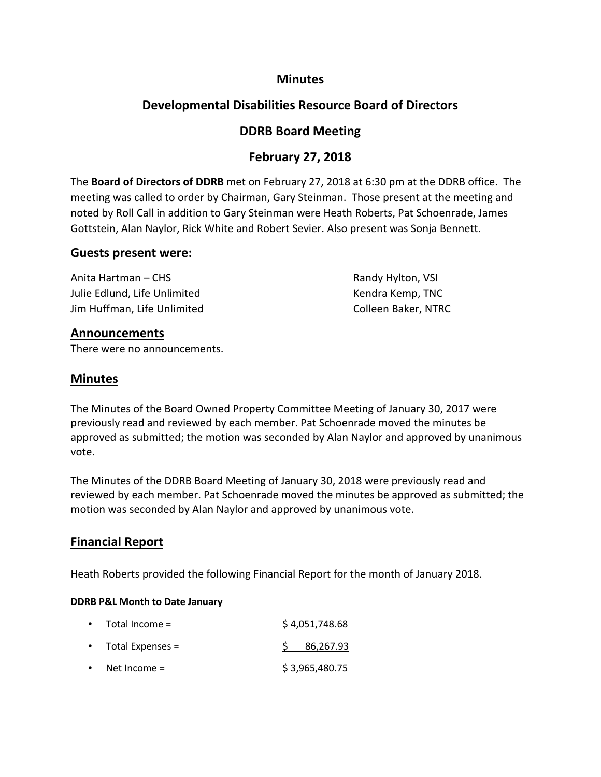### **Minutes**

# **Developmental Disabilities Resource Board of Directors**

## **DDRB Board Meeting**

# **February 27, 2018**

The **Board of Directors of DDRB** met on February 27, 2018 at 6:30 pm at the DDRB office. The meeting was called to order by Chairman, Gary Steinman. Those present at the meeting and noted by Roll Call in addition to Gary Steinman were Heath Roberts, Pat Schoenrade, James Gottstein, Alan Naylor, Rick White and Robert Sevier. Also present was Sonja Bennett.

#### **Guests present were:**

Anita Hartman – CHS **Randy Hylton, VSI** Randy Hylton, VSI Julie Edlund, Life Unlimited The Control of the Kendra Kemp, TNC Jim Huffman, Life Unlimited **Colleen Baker, NTRC** 

#### **Announcements**

There were no announcements.

## **Minutes**

The Minutes of the Board Owned Property Committee Meeting of January 30, 2017 were previously read and reviewed by each member. Pat Schoenrade moved the minutes be approved as submitted; the motion was seconded by Alan Naylor and approved by unanimous vote.

The Minutes of the DDRB Board Meeting of January 30, 2018 were previously read and reviewed by each member. Pat Schoenrade moved the minutes be approved as submitted; the motion was seconded by Alan Naylor and approved by unanimous vote.

## **Financial Report**

Heath Roberts provided the following Financial Report for the month of January 2018.

#### **DDRB P&L Month to Date January**

|           | $\bullet$ Total Income = | \$4,051,748.68 |
|-----------|--------------------------|----------------|
|           | • Total Expenses =       | \$86,267.93    |
| $\bullet$ | Net Income =             | \$3,965,480.75 |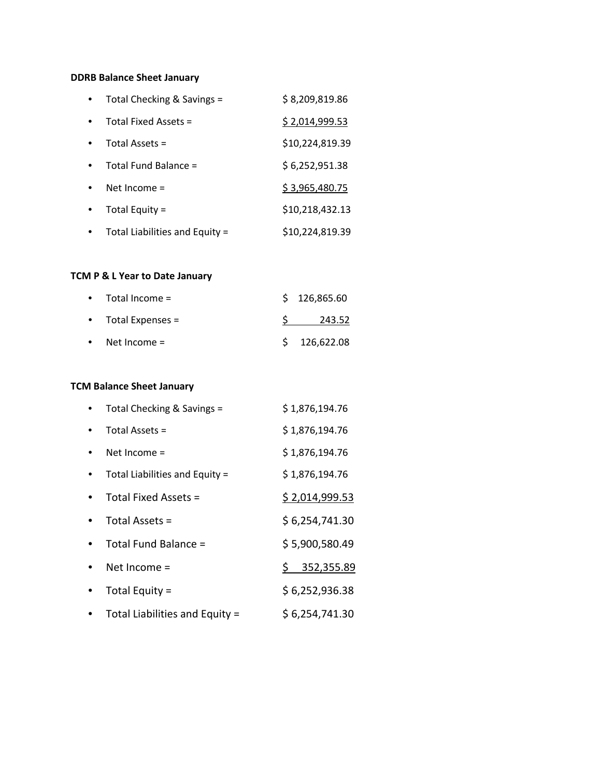### **DDRB Balance Sheet January**

| Total Checking & Savings =     | \$8,209,819.86  |
|--------------------------------|-----------------|
| Total Fixed Assets $=$         | \$2,014,999.53  |
| Total Assets =                 | \$10,224,819.39 |
| Total Fund Balance =           | \$6,252,951.38  |
| Net Income $=$                 | \$3,965,480.75  |
| Total Equity =                 | \$10,218,432.13 |
| Total Liabilities and Equity = | \$10,224,819.39 |

### **TCM P & L Year to Date January**

| $\bullet$ Total Income =   | \$126,865.60 |
|----------------------------|--------------|
| $\bullet$ Total Expenses = | 243.52       |
| • Net Income $=$           | \$126,622.08 |

### **TCM Balance Sheet January**

| Total Checking & Savings =     | \$1,876,194.76 |
|--------------------------------|----------------|
| Total Assets =                 | \$1,876,194.76 |
| Net Income $=$                 | \$1,876,194.76 |
| Total Liabilities and Equity = | \$1,876,194.76 |
| Total Fixed Assets =           | \$2,014,999.53 |
| Total Assets $=$               | \$6,254,741.30 |
| Total Fund Balance =           | \$5,900,580.49 |
| Net Income =                   | \$352,355.89   |
| Total Equity =                 | \$6,252,936.38 |
| Total Liabilities and Equity = | \$6,254,741.30 |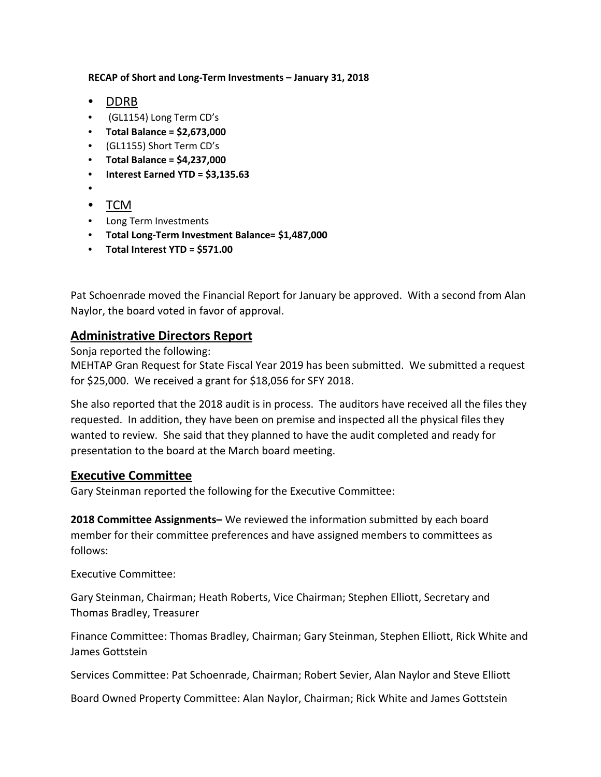**RECAP of Short and Long-Term Investments – January 31, 2018**

- DDRB
- (GL1154) Long Term CD's
- **Total Balance = \$2,673,000**
- (GL1155) Short Term CD's
- **Total Balance = \$4,237,000**
- **Interest Earned YTD = \$3,135.63**
- •
- TCM
- Long Term Investments
- **Total Long-Term Investment Balance= \$1,487,000**
- **Total Interest YTD = \$571.00**

Pat Schoenrade moved the Financial Report for January be approved. With a second from Alan Naylor, the board voted in favor of approval.

## **Administrative Directors Report**

Sonja reported the following:

MEHTAP Gran Request for State Fiscal Year 2019 has been submitted. We submitted a request for \$25,000. We received a grant for \$18,056 for SFY 2018.

She also reported that the 2018 audit is in process. The auditors have received all the files they requested. In addition, they have been on premise and inspected all the physical files they wanted to review. She said that they planned to have the audit completed and ready for presentation to the board at the March board meeting.

## **Executive Committee**

Gary Steinman reported the following for the Executive Committee:

**2018 Committee Assignments–** We reviewed the information submitted by each board member for their committee preferences and have assigned members to committees as follows:

Executive Committee:

Gary Steinman, Chairman; Heath Roberts, Vice Chairman; Stephen Elliott, Secretary and Thomas Bradley, Treasurer

Finance Committee: Thomas Bradley, Chairman; Gary Steinman, Stephen Elliott, Rick White and James Gottstein

Services Committee: Pat Schoenrade, Chairman; Robert Sevier, Alan Naylor and Steve Elliott

Board Owned Property Committee: Alan Naylor, Chairman; Rick White and James Gottstein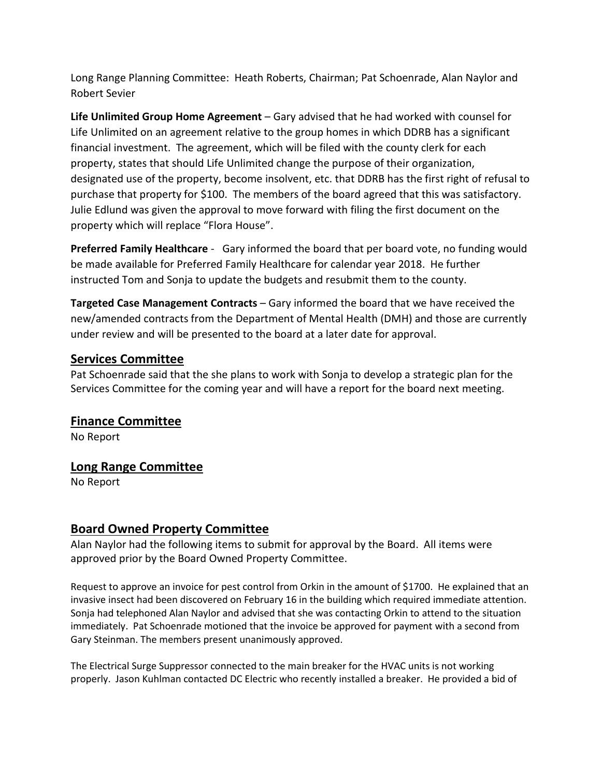Long Range Planning Committee: Heath Roberts, Chairman; Pat Schoenrade, Alan Naylor and Robert Sevier

**Life Unlimited Group Home Agreement** – Gary advised that he had worked with counsel for Life Unlimited on an agreement relative to the group homes in which DDRB has a significant financial investment. The agreement, which will be filed with the county clerk for each property, states that should Life Unlimited change the purpose of their organization, designated use of the property, become insolvent, etc. that DDRB has the first right of refusal to purchase that property for \$100. The members of the board agreed that this was satisfactory. Julie Edlund was given the approval to move forward with filing the first document on the property which will replace "Flora House".

**Preferred Family Healthcare** - Gary informed the board that per board vote, no funding would be made available for Preferred Family Healthcare for calendar year 2018. He further instructed Tom and Sonja to update the budgets and resubmit them to the county.

**Targeted Case Management Contracts** – Gary informed the board that we have received the new/amended contracts from the Department of Mental Health (DMH) and those are currently under review and will be presented to the board at a later date for approval.

### **Services Committee**

Pat Schoenrade said that the she plans to work with Sonja to develop a strategic plan for the Services Committee for the coming year and will have a report for the board next meeting.

## **Finance Committee**

No Report

## **Long Range Committee**

No Report

## **Board Owned Property Committee**

Alan Naylor had the following items to submit for approval by the Board. All items were approved prior by the Board Owned Property Committee.

Request to approve an invoice for pest control from Orkin in the amount of \$1700. He explained that an invasive insect had been discovered on February 16 in the building which required immediate attention. Sonja had telephoned Alan Naylor and advised that she was contacting Orkin to attend to the situation immediately. Pat Schoenrade motioned that the invoice be approved for payment with a second from Gary Steinman. The members present unanimously approved.

The Electrical Surge Suppressor connected to the main breaker for the HVAC units is not working properly. Jason Kuhlman contacted DC Electric who recently installed a breaker. He provided a bid of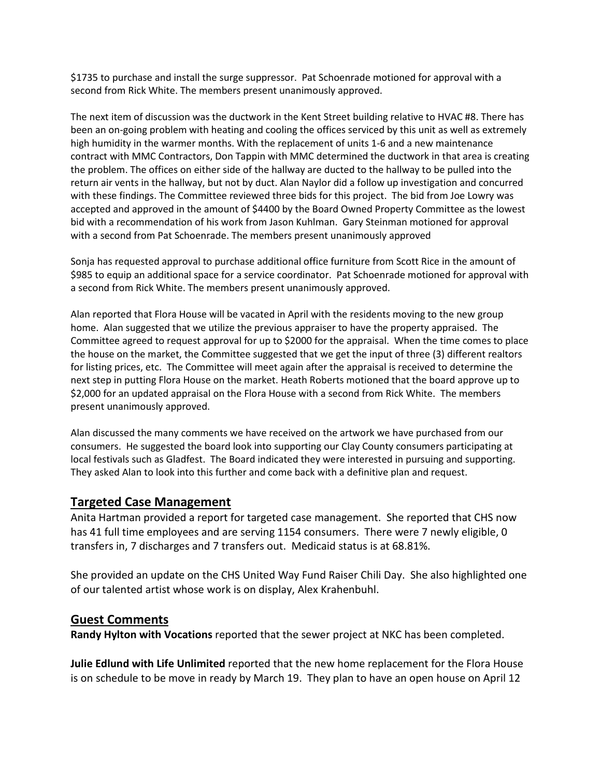\$1735 to purchase and install the surge suppressor. Pat Schoenrade motioned for approval with a second from Rick White. The members present unanimously approved.

The next item of discussion was the ductwork in the Kent Street building relative to HVAC #8. There has been an on-going problem with heating and cooling the offices serviced by this unit as well as extremely high humidity in the warmer months. With the replacement of units 1-6 and a new maintenance contract with MMC Contractors, Don Tappin with MMC determined the ductwork in that area is creating the problem. The offices on either side of the hallway are ducted to the hallway to be pulled into the return air vents in the hallway, but not by duct. Alan Naylor did a follow up investigation and concurred with these findings. The Committee reviewed three bids for this project. The bid from Joe Lowry was accepted and approved in the amount of \$4400 by the Board Owned Property Committee as the lowest bid with a recommendation of his work from Jason Kuhlman. Gary Steinman motioned for approval with a second from Pat Schoenrade. The members present unanimously approved

Sonja has requested approval to purchase additional office furniture from Scott Rice in the amount of \$985 to equip an additional space for a service coordinator. Pat Schoenrade motioned for approval with a second from Rick White. The members present unanimously approved.

Alan reported that Flora House will be vacated in April with the residents moving to the new group home. Alan suggested that we utilize the previous appraiser to have the property appraised. The Committee agreed to request approval for up to \$2000 for the appraisal. When the time comes to place the house on the market, the Committee suggested that we get the input of three (3) different realtors for listing prices, etc. The Committee will meet again after the appraisal is received to determine the next step in putting Flora House on the market. Heath Roberts motioned that the board approve up to \$2,000 for an updated appraisal on the Flora House with a second from Rick White. The members present unanimously approved.

Alan discussed the many comments we have received on the artwork we have purchased from our consumers. He suggested the board look into supporting our Clay County consumers participating at local festivals such as Gladfest. The Board indicated they were interested in pursuing and supporting. They asked Alan to look into this further and come back with a definitive plan and request.

#### **Targeted Case Management**

Anita Hartman provided a report for targeted case management. She reported that CHS now has 41 full time employees and are serving 1154 consumers. There were 7 newly eligible, 0 transfers in, 7 discharges and 7 transfers out. Medicaid status is at 68.81%.

She provided an update on the CHS United Way Fund Raiser Chili Day. She also highlighted one of our talented artist whose work is on display, Alex Krahenbuhl.

#### **Guest Comments**

**Randy Hylton with Vocations** reported that the sewer project at NKC has been completed.

**Julie Edlund with Life Unlimited** reported that the new home replacement for the Flora House is on schedule to be move in ready by March 19. They plan to have an open house on April 12